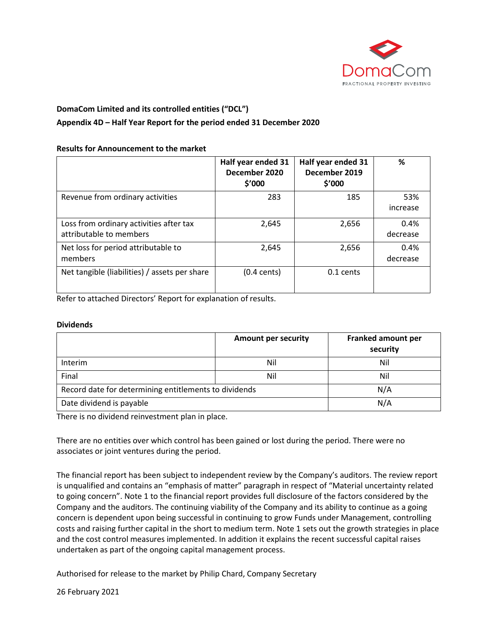

# **DomaCom Limited and its controlled entities ("DCL")**

## **Appendix 4D – Half Year Report for the period ended 31 December 2020**

#### **Results for Announcement to the market**

|                                                                    | Half year ended 31<br>December 2020<br>\$'000 | Half year ended 31<br>December 2019<br>\$'000 | %                |
|--------------------------------------------------------------------|-----------------------------------------------|-----------------------------------------------|------------------|
| Revenue from ordinary activities                                   | 283                                           | 185                                           | 53%<br>increase  |
| Loss from ordinary activities after tax<br>attributable to members | 2,645                                         | 2,656                                         | 0.4%<br>decrease |
| Net loss for period attributable to<br>members                     | 2,645                                         | 2,656                                         | 0.4%<br>decrease |
| Net tangible (liabilities) / assets per share                      | $(0.4 \text{ cents})$                         | $0.1$ cents                                   |                  |

Refer to attached Directors' Report for explanation of results.

## **Dividends**

|                                                       | <b>Amount per security</b> | Franked amount per<br>security |
|-------------------------------------------------------|----------------------------|--------------------------------|
| <b>Interim</b>                                        | Nil                        | Nil                            |
| Final                                                 | Nil                        | Nil                            |
| Record date for determining entitlements to dividends |                            | N/A                            |
| Date dividend is payable                              |                            | N/A                            |

There is no dividend reinvestment plan in place.

There are no entities over which control has been gained or lost during the period. There were no associates or joint ventures during the period.

The financial report has been subject to independent review by the Company's auditors. The review report is unqualified and contains an "emphasis of matter" paragraph in respect of "Material uncertainty related to going concern". Note 1 to the financial report provides full disclosure of the factors considered by the Company and the auditors. The continuing viability of the Company and its ability to continue as a going concern is dependent upon being successful in continuing to grow Funds under Management, controlling costs and raising further capital in the short to medium term. Note 1 sets out the growth strategies in place and the cost control measures implemented. In addition it explains the recent successful capital raises undertaken as part of the ongoing capital management process.

Authorised for release to the market by Philip Chard, Company Secretary

26 February 2021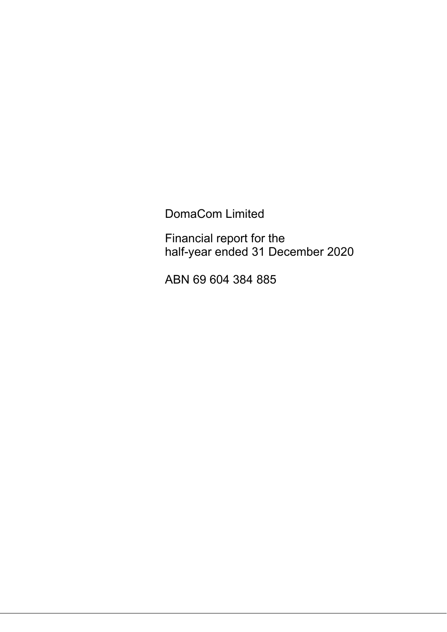DomaCom Limited

Financial report for the half-year ended 31 December 2020

ABN 69 604 384 885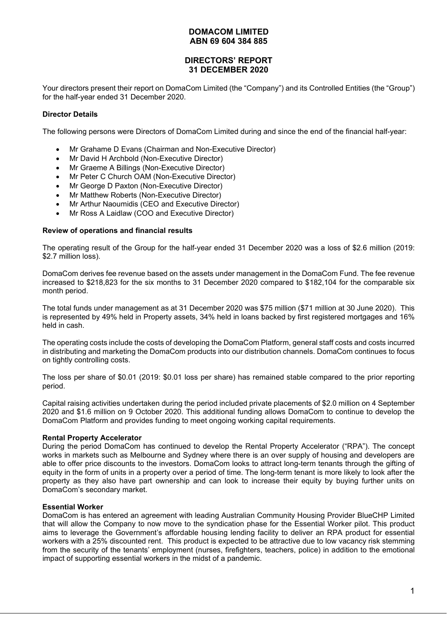## **DIRECTORS' REPORT 31 DECEMBER 2020**

Your directors present their report on DomaCom Limited (the "Company") and its Controlled Entities (the "Group") for the half-year ended 31 December 2020.

## **Director Details**

The following persons were Directors of DomaCom Limited during and since the end of the financial half-year:

- Mr Grahame D Evans (Chairman and Non-Executive Director)
- Mr David H Archbold (Non-Executive Director)
- Mr Graeme A Billings (Non-Executive Director)
- Mr Peter C Church OAM (Non-Executive Director)
- Mr George D Paxton (Non-Executive Director)
- Mr Matthew Roberts (Non-Executive Director)
- Mr Arthur Naoumidis (CEO and Executive Director)
- Mr Ross A Laidlaw (COO and Executive Director)

#### **Review of operations and financial results**

The operating result of the Group for the half-year ended 31 December 2020 was a loss of \$2.6 million (2019: \$2.7 million loss).

DomaCom derives fee revenue based on the assets under management in the DomaCom Fund. The fee revenue increased to \$218,823 for the six months to 31 December 2020 compared to \$182,104 for the comparable six month period.

The total funds under management as at 31 December 2020 was \$75 million (\$71 million at 30 June 2020). This is represented by 49% held in Property assets, 34% held in loans backed by first registered mortgages and 16% held in cash.

The operating costs include the costs of developing the DomaCom Platform, general staff costs and costs incurred in distributing and marketing the DomaCom products into our distribution channels. DomaCom continues to focus on tightly controlling costs.

The loss per share of \$0.01 (2019: \$0.01 loss per share) has remained stable compared to the prior reporting period.

Capital raising activities undertaken during the period included private placements of \$2.0 million on 4 September 2020 and \$1.6 million on 9 October 2020. This additional funding allows DomaCom to continue to develop the DomaCom Platform and provides funding to meet ongoing working capital requirements.

#### **Rental Property Accelerator**

During the period DomaCom has continued to develop the Rental Property Accelerator ("RPA"). The concept works in markets such as Melbourne and Sydney where there is an over supply of housing and developers are able to offer price discounts to the investors. DomaCom looks to attract long-term tenants through the gifting of equity in the form of units in a property over a period of time. The long-term tenant is more likely to look after the property as they also have part ownership and can look to increase their equity by buying further units on DomaCom's secondary market.

## **Essential Worker**

DomaCom is has entered an agreement with leading Australian Community Housing Provider BlueCHP Limited that will allow the Company to now move to the syndication phase for the Essential Worker pilot. This product aims to leverage the Government's affordable housing lending facility to deliver an RPA product for essential workers with a 25% discounted rent. This product is expected to be attractive due to low vacancy risk stemming from the security of the tenants' employment (nurses, firefighters, teachers, police) in addition to the emotional impact of supporting essential workers in the midst of a pandemic.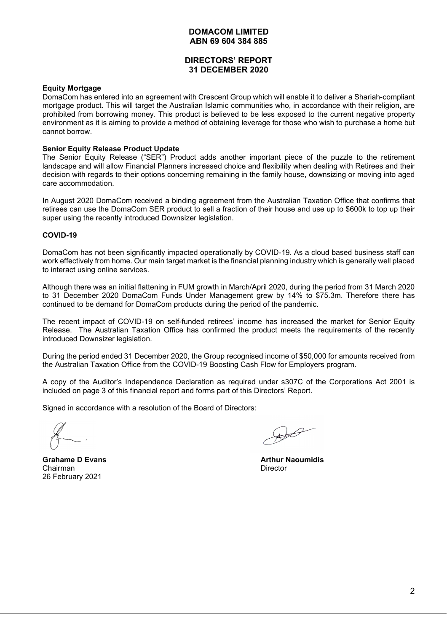## **DIRECTORS' REPORT 31 DECEMBER 2020**

#### **Equity Mortgage**

DomaCom has entered into an agreement with Crescent Group which will enable it to deliver a Shariah-compliant mortgage product. This will target the Australian Islamic communities who, in accordance with their religion, are prohibited from borrowing money. This product is believed to be less exposed to the current negative property environment as it is aiming to provide a method of obtaining leverage for those who wish to purchase a home but cannot borrow.

#### **Senior Equity Release Product Update**

The Senior Equity Release ("SER") Product adds another important piece of the puzzle to the retirement landscape and will allow Financial Planners increased choice and flexibility when dealing with Retirees and their decision with regards to their options concerning remaining in the family house, downsizing or moving into aged care accommodation.

In August 2020 DomaCom received a binding agreement from the Australian Taxation Office that confirms that retirees can use the DomaCom SER product to sell a fraction of their house and use up to \$600k to top up their super using the recently introduced Downsizer legislation.

#### **COVID-19**

DomaCom has not been significantly impacted operationally by COVID-19. As a cloud based business staff can work effectively from home. Our main target market is the financial planning industry which is generally well placed to interact using online services.

Although there was an initial flattening in FUM growth in March/April 2020, during the period from 31 March 2020 to 31 December 2020 DomaCom Funds Under Management grew by 14% to \$75.3m. Therefore there has continued to be demand for DomaCom products during the period of the pandemic.

The recent impact of COVID-19 on self-funded retirees' income has increased the market for Senior Equity Release. The Australian Taxation Office has confirmed the product meets the requirements of the recently introduced Downsizer legislation.

During the period ended 31 December 2020, the Group recognised income of \$50,000 for amounts received from the Australian Taxation Office from the COVID-19 Boosting Cash Flow for Employers program.

A copy of the Auditor's Independence Declaration as required under s307C of the Corporations Act 2001 is included on page 3 of this financial report and forms part of this Directors' Report.

Signed in accordance with a resolution of the Board of Directors:

**Grahame D Evans Arthur Naoumidis**<br> **Chairman Arthur Naoumidis**<br>
Director Chairman 26 February 2021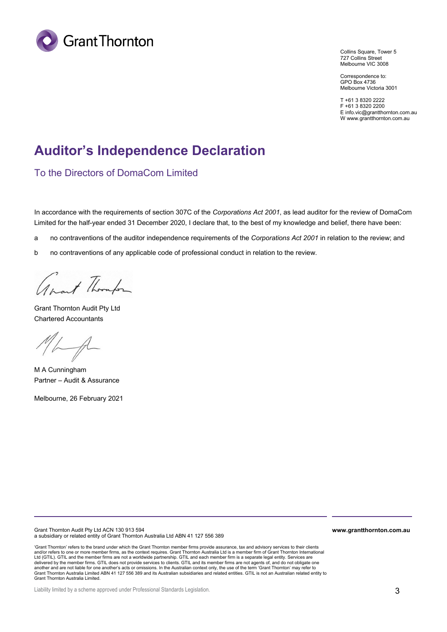

Collins Square, Tower 5 727 Collins Street Melbourne VIC 3008

Correspondence to: GPO Box 4736 Melbourne Victoria 3001

T +61 3 8320 2222 F +61 3 8320 2200 E info.vic@grantthornton.com.au W www.grantthornton.com.au

# **Auditor's Independence Declaration**

To the Directors of DomaCom Limited

In accordance with the requirements of section 307C of the *Corporations Act 2001*, as lead auditor for the review of DomaCom Limited for the half-year ended 31 December 2020, I declare that, to the best of my knowledge and belief, there have been:

a no contraventions of the auditor independence requirements of the *Corporations Act 2001* in relation to the review; and

b no contraventions of any applicable code of professional conduct in relation to the review.

anost Thomps

Grant Thornton Audit Pty Ltd Chartered Accountants

 $M \rightarrow A$ 

M A Cunningham Partner – Audit & Assurance

Melbourne, 26 February 2021

Grant Thornton Audit Pty Ltd ACN 130 913 594 a subsidiary or related entity of Grant Thornton Australia Ltd ABN 41 127 556 389

'Grant Thornton' refers to the brand under which the Grant Thornton member firms provide assurance, tax and advisory services to their clients and/or refers to one or more member firms, as the context requires. Grant Thornton Australia Ltd is a member firm of Grant Thornton International<br>Ltd (GTIL). GTIL and the member firms are not a worldwide partnership. GTIL delivered by the member firms. GTIL does not provide services to clients. GTIL and its member firms are not agents of, and do not obligate one another and are not liable for one another's acts or omissions. In the Australian context only, the use of the term 'Grant Thornton' may refer to<br>Grant Thornton Australia Limited ABN 41 127 556 389 and its Australian subsi Grant Thornton Australia Limited.

**www.grantthornton.com.au**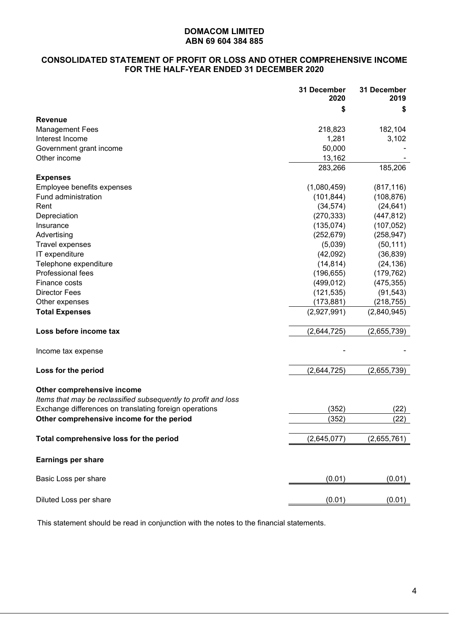## **CONSOLIDATED STATEMENT OF PROFIT OR LOSS AND OTHER COMPREHENSIVE INCOME FOR THE HALF-YEAR ENDED 31 DECEMBER 2020**

|                                                                                              | 31 December<br>2020 | 31 December<br>2019 |
|----------------------------------------------------------------------------------------------|---------------------|---------------------|
|                                                                                              | \$                  | S                   |
| <b>Revenue</b>                                                                               |                     |                     |
| <b>Management Fees</b>                                                                       | 218,823             | 182,104             |
| Interest Income                                                                              | 1,281               | 3,102               |
| Government grant income                                                                      | 50,000              |                     |
| Other income                                                                                 | 13,162              |                     |
|                                                                                              | 283,266             | 185,206             |
| <b>Expenses</b>                                                                              |                     |                     |
| Employee benefits expenses                                                                   | (1,080,459)         | (817, 116)          |
| Fund administration                                                                          | (101, 844)          | (108, 876)          |
| Rent                                                                                         | (34, 574)           | (24, 641)           |
| Depreciation                                                                                 | (270, 333)          | (447, 812)          |
| Insurance                                                                                    | (135, 074)          | (107, 052)          |
| Advertising                                                                                  | (252, 679)          | (258, 947)          |
| <b>Travel expenses</b>                                                                       | (5,039)             | (50, 111)           |
| IT expenditure                                                                               | (42,092)            | (36, 839)           |
| Telephone expenditure                                                                        | (14, 814)           | (24, 136)           |
| Professional fees                                                                            | (196, 655)          | (179, 762)          |
| Finance costs                                                                                | (499, 012)          | (475, 355)          |
| <b>Director Fees</b>                                                                         | (121, 535)          | (91, 543)           |
| Other expenses                                                                               | (173, 881)          | (218, 755)          |
| <b>Total Expenses</b>                                                                        | (2,927,991)         | (2,840,945)         |
| Loss before income tax                                                                       | (2,644,725)         | (2,655,739)         |
| Income tax expense                                                                           |                     |                     |
| Loss for the period                                                                          | (2,644,725)         | (2,655,739)         |
| Other comprehensive income<br>Items that may be reclassified subsequently to profit and loss |                     |                     |
| Exchange differences on translating foreign operations                                       | (352)               | (22)                |
| Other comprehensive income for the period                                                    | (352)               | (22)                |
| Total comprehensive loss for the period                                                      | (2,645,077)         | (2,655,761)         |
| <b>Earnings per share</b>                                                                    |                     |                     |
| Basic Loss per share                                                                         | (0.01)              | (0.01)              |
| Diluted Loss per share                                                                       | (0.01)              | (0.01)              |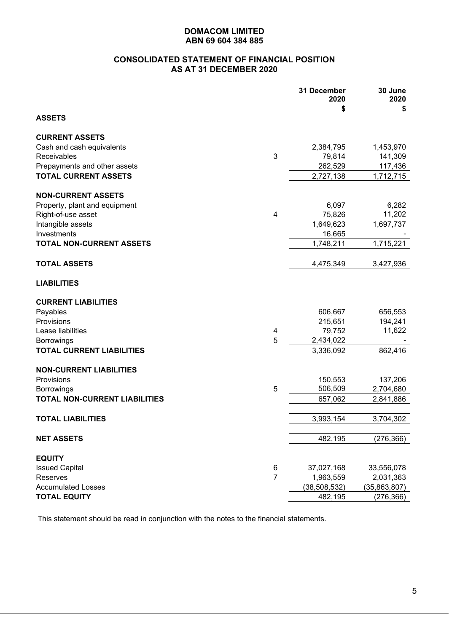## **CONSOLIDATED STATEMENT OF FINANCIAL POSITION AS AT 31 DECEMBER 2020**

|                                      |                | 31 December<br>2020<br>\$ | 30 June<br>2020<br>\$ |
|--------------------------------------|----------------|---------------------------|-----------------------|
| <b>ASSETS</b>                        |                |                           |                       |
| <b>CURRENT ASSETS</b>                |                |                           |                       |
| Cash and cash equivalents            |                | 2,384,795                 | 1,453,970             |
| Receivables                          | 3              | 79,814                    | 141,309               |
| Prepayments and other assets         |                | 262,529                   | 117,436               |
| <b>TOTAL CURRENT ASSETS</b>          |                | 2,727,138                 | 1,712,715             |
| <b>NON-CURRENT ASSETS</b>            |                |                           |                       |
| Property, plant and equipment        |                | 6,097                     | 6,282                 |
| Right-of-use asset                   | 4              | 75,826                    | 11,202                |
| Intangible assets                    |                | 1,649,623                 | 1,697,737             |
| Investments                          |                | 16,665                    |                       |
| <b>TOTAL NON-CURRENT ASSETS</b>      |                | 1,748,211                 | 1,715,221             |
| <b>TOTAL ASSETS</b>                  |                | 4,475,349                 | 3,427,936             |
| <b>LIABILITIES</b>                   |                |                           |                       |
| <b>CURRENT LIABILITIES</b>           |                |                           |                       |
| Payables                             |                | 606,667                   | 656,553               |
| Provisions                           |                | 215,651                   | 194,241               |
| Lease liabilities                    | 4              | 79,752                    | 11,622                |
| <b>Borrowings</b>                    | 5              | 2,434,022                 |                       |
| <b>TOTAL CURRENT LIABILITIES</b>     |                | 3,336,092                 | 862,416               |
| <b>NON-CURRENT LIABILITIES</b>       |                |                           |                       |
| Provisions                           |                | 150,553                   | 137,206               |
| Borrowings                           | 5              | 506,509                   | 2,704,680             |
| <b>TOTAL NON-CURRENT LIABILITIES</b> |                | 657,062                   | 2,841,886             |
| <b>TOTAL LIABILITIES</b>             |                | 3,993,154                 | 3,704,302             |
| <b>NET ASSETS</b>                    |                | 482,195                   | (276, 366)            |
| <b>EQUITY</b>                        |                |                           |                       |
| <b>Issued Capital</b>                | 6              | 37,027,168                | 33,556,078            |
| <b>Reserves</b>                      | $\overline{7}$ | 1,963,559                 | 2,031,363             |
| <b>Accumulated Losses</b>            |                | (38, 508, 532)            | (35,863,807)          |
| <b>TOTAL EQUITY</b>                  |                | 482,195                   | (276, 366)            |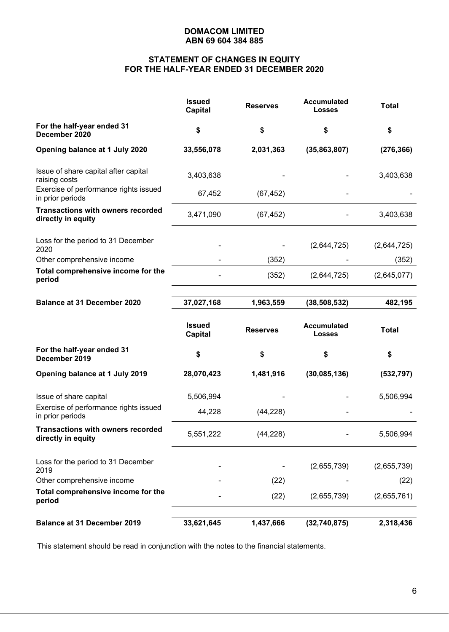# **STATEMENT OF CHANGES IN EQUITY FOR THE HALF-YEAR ENDED 31 DECEMBER 2020**

|                                                                | <b>Issued</b><br><b>Capital</b> | <b>Reserves</b> | <b>Accumulated</b><br><b>Losses</b> | <b>Total</b> |
|----------------------------------------------------------------|---------------------------------|-----------------|-------------------------------------|--------------|
| For the half-year ended 31<br>December 2020                    | \$                              | \$              | \$                                  | \$           |
| Opening balance at 1 July 2020                                 | 33,556,078                      | 2,031,363       | (35,863,807)                        | (276, 366)   |
| Issue of share capital after capital<br>raising costs          | 3,403,638                       |                 |                                     | 3,403,638    |
| Exercise of performance rights issued<br>in prior periods      | 67,452                          | (67, 452)       |                                     |              |
| <b>Transactions with owners recorded</b><br>directly in equity | 3,471,090                       | (67, 452)       |                                     | 3,403,638    |
| Loss for the period to 31 December<br>2020                     |                                 |                 | (2,644,725)                         | (2,644,725)  |
| Other comprehensive income                                     |                                 | (352)           |                                     | (352)        |
| Total comprehensive income for the<br>period                   |                                 | (352)           | (2,644,725)                         | (2,645,077)  |
| <b>Balance at 31 December 2020</b>                             | 37,027,168                      | 1,963,559       | (38, 508, 532)                      | 482,195      |
|                                                                | <b>Issued</b><br><b>Capital</b> | <b>Reserves</b> | <b>Accumulated</b><br><b>Losses</b> | <b>Total</b> |
| For the half-year ended 31<br>December 2019                    | \$                              | \$              | \$                                  | \$           |
| Opening balance at 1 July 2019                                 | 28,070,423                      | 1,481,916       | (30,085,136)                        | (532, 797)   |
| Issue of share capital                                         | 5,506,994                       |                 |                                     | 5,506,994    |
| Exercise of performance rights issued<br>in prior periods      | 44,228                          | (44, 228)       |                                     |              |
| <b>Transactions with owners recorded</b><br>directly in equity | 5,551,222                       | (44, 228)       |                                     | 5,506,994    |
| Loss for the period to 31 December<br>2019                     |                                 |                 | (2,655,739)                         | (2,655,739)  |
|                                                                |                                 |                 |                                     |              |
| Other comprehensive income                                     |                                 | (22)            |                                     | (22)         |
| Total comprehensive income for the<br>period                   |                                 | (22)            | (2,655,739)                         | (2,655,761)  |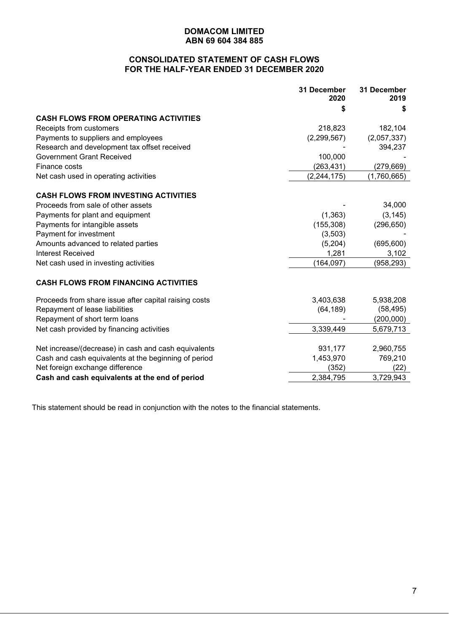## **CONSOLIDATED STATEMENT OF CASH FLOWS FOR THE HALF-YEAR ENDED 31 DECEMBER 2020**

| <b>CASH FLOWS FROM OPERATING ACTIVITIES</b><br>Receipts from customers<br>218,823<br>182,104<br>Payments to suppliers and employees<br>(2, 299, 567)<br>(2,057,337)<br>Research and development tax offset received<br>394,237<br><b>Government Grant Received</b><br>100,000<br>(263, 431)<br>(279, 669)<br>Finance costs<br>Net cash used in operating activities<br>(2, 244, 175)<br>(1,760,665)<br><b>CASH FLOWS FROM INVESTING ACTIVITIES</b><br>34,000<br>Proceeds from sale of other assets<br>(3, 145)<br>Payments for plant and equipment<br>(1, 363)<br>Payments for intangible assets<br>(155, 308)<br>(296, 650)<br>Payment for investment<br>(3,503)<br>Amounts advanced to related parties<br>(5,204)<br>(695, 600)<br><b>Interest Received</b><br>1,281<br>3,102<br>(164, 097)<br>(958, 293)<br>Net cash used in investing activities<br><b>CASH FLOWS FROM FINANCING ACTIVITIES</b><br>Proceeds from share issue after capital raising costs<br>3,403,638<br>5,938,208<br>(58, 495)<br>Repayment of lease liabilities<br>(64, 189)<br>Repayment of short term loans<br>(200,000)<br>Net cash provided by financing activities<br>3,339,449<br>5,679,713<br>Net increase/(decrease) in cash and cash equivalents<br>931,177<br>2,960,755<br>Cash and cash equivalents at the beginning of period<br>1,453,970<br>769,210<br>Net foreign exchange difference<br>(352)<br>(22)<br>Cash and cash equivalents at the end of period<br>3,729,943<br>2,384,795 | 31 December<br>2020<br>\$ | 31 December<br>2019<br>\$ |
|-------------------------------------------------------------------------------------------------------------------------------------------------------------------------------------------------------------------------------------------------------------------------------------------------------------------------------------------------------------------------------------------------------------------------------------------------------------------------------------------------------------------------------------------------------------------------------------------------------------------------------------------------------------------------------------------------------------------------------------------------------------------------------------------------------------------------------------------------------------------------------------------------------------------------------------------------------------------------------------------------------------------------------------------------------------------------------------------------------------------------------------------------------------------------------------------------------------------------------------------------------------------------------------------------------------------------------------------------------------------------------------------------------------------------------------------------------------------------|---------------------------|---------------------------|
|                                                                                                                                                                                                                                                                                                                                                                                                                                                                                                                                                                                                                                                                                                                                                                                                                                                                                                                                                                                                                                                                                                                                                                                                                                                                                                                                                                                                                                                                         |                           |                           |
|                                                                                                                                                                                                                                                                                                                                                                                                                                                                                                                                                                                                                                                                                                                                                                                                                                                                                                                                                                                                                                                                                                                                                                                                                                                                                                                                                                                                                                                                         |                           |                           |
|                                                                                                                                                                                                                                                                                                                                                                                                                                                                                                                                                                                                                                                                                                                                                                                                                                                                                                                                                                                                                                                                                                                                                                                                                                                                                                                                                                                                                                                                         |                           |                           |
|                                                                                                                                                                                                                                                                                                                                                                                                                                                                                                                                                                                                                                                                                                                                                                                                                                                                                                                                                                                                                                                                                                                                                                                                                                                                                                                                                                                                                                                                         |                           |                           |
|                                                                                                                                                                                                                                                                                                                                                                                                                                                                                                                                                                                                                                                                                                                                                                                                                                                                                                                                                                                                                                                                                                                                                                                                                                                                                                                                                                                                                                                                         |                           |                           |
|                                                                                                                                                                                                                                                                                                                                                                                                                                                                                                                                                                                                                                                                                                                                                                                                                                                                                                                                                                                                                                                                                                                                                                                                                                                                                                                                                                                                                                                                         |                           |                           |
|                                                                                                                                                                                                                                                                                                                                                                                                                                                                                                                                                                                                                                                                                                                                                                                                                                                                                                                                                                                                                                                                                                                                                                                                                                                                                                                                                                                                                                                                         |                           |                           |
|                                                                                                                                                                                                                                                                                                                                                                                                                                                                                                                                                                                                                                                                                                                                                                                                                                                                                                                                                                                                                                                                                                                                                                                                                                                                                                                                                                                                                                                                         |                           |                           |
|                                                                                                                                                                                                                                                                                                                                                                                                                                                                                                                                                                                                                                                                                                                                                                                                                                                                                                                                                                                                                                                                                                                                                                                                                                                                                                                                                                                                                                                                         |                           |                           |
|                                                                                                                                                                                                                                                                                                                                                                                                                                                                                                                                                                                                                                                                                                                                                                                                                                                                                                                                                                                                                                                                                                                                                                                                                                                                                                                                                                                                                                                                         |                           |                           |
|                                                                                                                                                                                                                                                                                                                                                                                                                                                                                                                                                                                                                                                                                                                                                                                                                                                                                                                                                                                                                                                                                                                                                                                                                                                                                                                                                                                                                                                                         |                           |                           |
|                                                                                                                                                                                                                                                                                                                                                                                                                                                                                                                                                                                                                                                                                                                                                                                                                                                                                                                                                                                                                                                                                                                                                                                                                                                                                                                                                                                                                                                                         |                           |                           |
|                                                                                                                                                                                                                                                                                                                                                                                                                                                                                                                                                                                                                                                                                                                                                                                                                                                                                                                                                                                                                                                                                                                                                                                                                                                                                                                                                                                                                                                                         |                           |                           |
|                                                                                                                                                                                                                                                                                                                                                                                                                                                                                                                                                                                                                                                                                                                                                                                                                                                                                                                                                                                                                                                                                                                                                                                                                                                                                                                                                                                                                                                                         |                           |                           |
|                                                                                                                                                                                                                                                                                                                                                                                                                                                                                                                                                                                                                                                                                                                                                                                                                                                                                                                                                                                                                                                                                                                                                                                                                                                                                                                                                                                                                                                                         |                           |                           |
|                                                                                                                                                                                                                                                                                                                                                                                                                                                                                                                                                                                                                                                                                                                                                                                                                                                                                                                                                                                                                                                                                                                                                                                                                                                                                                                                                                                                                                                                         |                           |                           |
|                                                                                                                                                                                                                                                                                                                                                                                                                                                                                                                                                                                                                                                                                                                                                                                                                                                                                                                                                                                                                                                                                                                                                                                                                                                                                                                                                                                                                                                                         |                           |                           |
|                                                                                                                                                                                                                                                                                                                                                                                                                                                                                                                                                                                                                                                                                                                                                                                                                                                                                                                                                                                                                                                                                                                                                                                                                                                                                                                                                                                                                                                                         |                           |                           |
|                                                                                                                                                                                                                                                                                                                                                                                                                                                                                                                                                                                                                                                                                                                                                                                                                                                                                                                                                                                                                                                                                                                                                                                                                                                                                                                                                                                                                                                                         |                           |                           |
|                                                                                                                                                                                                                                                                                                                                                                                                                                                                                                                                                                                                                                                                                                                                                                                                                                                                                                                                                                                                                                                                                                                                                                                                                                                                                                                                                                                                                                                                         |                           |                           |
|                                                                                                                                                                                                                                                                                                                                                                                                                                                                                                                                                                                                                                                                                                                                                                                                                                                                                                                                                                                                                                                                                                                                                                                                                                                                                                                                                                                                                                                                         |                           |                           |
|                                                                                                                                                                                                                                                                                                                                                                                                                                                                                                                                                                                                                                                                                                                                                                                                                                                                                                                                                                                                                                                                                                                                                                                                                                                                                                                                                                                                                                                                         |                           |                           |
|                                                                                                                                                                                                                                                                                                                                                                                                                                                                                                                                                                                                                                                                                                                                                                                                                                                                                                                                                                                                                                                                                                                                                                                                                                                                                                                                                                                                                                                                         |                           |                           |
|                                                                                                                                                                                                                                                                                                                                                                                                                                                                                                                                                                                                                                                                                                                                                                                                                                                                                                                                                                                                                                                                                                                                                                                                                                                                                                                                                                                                                                                                         |                           |                           |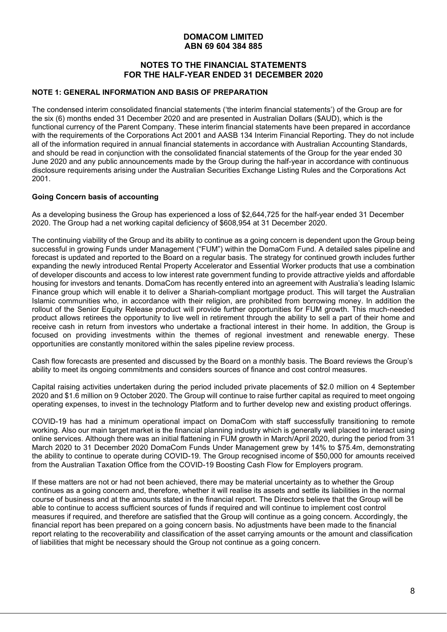## **NOTES TO THE FINANCIAL STATEMENTS FOR THE HALF-YEAR ENDED 31 DECEMBER 2020**

#### **NOTE 1: GENERAL INFORMATION AND BASIS OF PREPARATION**

The condensed interim consolidated financial statements ('the interim financial statements') of the Group are for the six (6) months ended 31 December 2020 and are presented in Australian Dollars (\$AUD), which is the functional currency of the Parent Company. These interim financial statements have been prepared in accordance with the requirements of the Corporations Act 2001 and AASB 134 Interim Financial Reporting. They do not include all of the information required in annual financial statements in accordance with Australian Accounting Standards, and should be read in conjunction with the consolidated financial statements of the Group for the year ended 30 June 2020 and any public announcements made by the Group during the half-year in accordance with continuous disclosure requirements arising under the Australian Securities Exchange Listing Rules and the Corporations Act 2001.

#### **Going Concern basis of accounting**

As a developing business the Group has experienced a loss of \$2,644,725 for the half-year ended 31 December 2020. The Group had a net working capital deficiency of \$608,954 at 31 December 2020.

The continuing viability of the Group and its ability to continue as a going concern is dependent upon the Group being successful in growing Funds under Management ("FUM") within the DomaCom Fund. A detailed sales pipeline and forecast is updated and reported to the Board on a regular basis. The strategy for continued growth includes further expanding the newly introduced Rental Property Accelerator and Essential Worker products that use a combination of developer discounts and access to low interest rate government funding to provide attractive yields and affordable housing for investors and tenants. DomaCom has recently entered into an agreement with Australia's leading Islamic Finance group which will enable it to deliver a Shariah-compliant mortgage product. This will target the Australian Islamic communities who, in accordance with their religion, are prohibited from borrowing money. In addition the rollout of the Senior Equity Release product will provide further opportunities for FUM growth. This much-needed product allows retirees the opportunity to live well in retirement through the ability to sell a part of their home and receive cash in return from investors who undertake a fractional interest in their home. In addition, the Group is focused on providing investments within the themes of regional investment and renewable energy. These opportunities are constantly monitored within the sales pipeline review process.

Cash flow forecasts are presented and discussed by the Board on a monthly basis. The Board reviews the Group's ability to meet its ongoing commitments and considers sources of finance and cost control measures.

Capital raising activities undertaken during the period included private placements of \$2.0 million on 4 September 2020 and \$1.6 million on 9 October 2020. The Group will continue to raise further capital as required to meet ongoing operating expenses, to invest in the technology Platform and to further develop new and existing product offerings.

COVID-19 has had a minimum operational impact on DomaCom with staff successfully transitioning to remote working. Also our main target market is the financial planning industry which is generally well placed to interact using online services. Although there was an initial flattening in FUM growth in March/April 2020, during the period from 31 March 2020 to 31 December 2020 DomaCom Funds Under Management grew by 14% to \$75.4m, demonstrating the ability to continue to operate during COVID-19. The Group recognised income of \$50,000 for amounts received from the Australian Taxation Office from the COVID-19 Boosting Cash Flow for Employers program.

If these matters are not or had not been achieved, there may be material uncertainty as to whether the Group continues as a going concern and, therefore, whether it will realise its assets and settle its liabilities in the normal course of business and at the amounts stated in the financial report. The Directors believe that the Group will be able to continue to access sufficient sources of funds if required and will continue to implement cost control measures if required, and therefore are satisfied that the Group will continue as a going concern. Accordingly, the financial report has been prepared on a going concern basis. No adjustments have been made to the financial report relating to the recoverability and classification of the asset carrying amounts or the amount and classification of liabilities that might be necessary should the Group not continue as a going concern.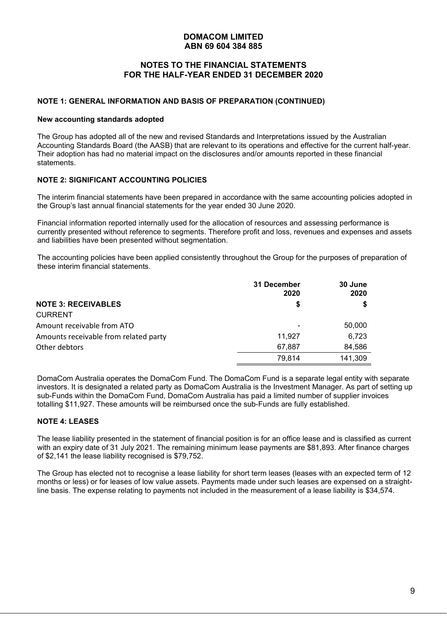## **NOTES TO THE FINANCIAL STATEMENTS FOR THE HALF-YEAR ENDED 31 DECEMBER 2020**

#### **NOTE 1: GENERAL INFORMATION AND BASIS OF PREPARATION (CONTINUED)**

#### **New accounting standards adopted**

The Group has adopted all of the new and revised Standards and Interpretations issued by the Australian Accounting Standards Board (the AASB) that are relevant to its operations and effective for the current half-year. Their adoption has had no material impact on the disclosures and/or amounts reported in these financial statements.

#### **NOTE 2: SIGNIFICANT ACCOUNTING POLICIES**

The interim financial statements have been prepared in accordance with the same accounting policies adopted in the Group's last annual financial statements for the year ended 30 June 2020.

Financial information reported internally used for the allocation of resources and assessing performance is currently presented without reference to segments. Therefore profit and loss, revenues and expenses and assets and liabilities have been presented without segmentation.

The accounting policies have been applied consistently throughout the Group for the purposes of preparation of these interim financial statements.

|                                       | 31 December<br>2020 | 30 June<br>2020 |
|---------------------------------------|---------------------|-----------------|
| <b>NOTE 3: RECEIVABLES</b>            | \$                  |                 |
| <b>CURRENT</b>                        |                     |                 |
| Amount receivable from ATO            | -                   | 50,000          |
| Amounts receivable from related party | 11,927              | 6,723           |
| Other debtors                         | 67,887              | 84,586          |
|                                       | 79,814              | 141,309         |

DomaCom Australia operates the DomaCom Fund. The DomaCom Fund is a separate legal entity with separate investors. It is designated a related party as DomaCom Australia is the Investment Manager. As part of setting up sub-Funds within the DomaCom Fund, DomaCom Australia has paid a limited number of supplier invoices totalling \$11,927. These amounts will be reimbursed once the sub-Funds are fully established.

#### **NOTE 4: LEASES**

The lease liability presented in the statement of financial position is for an office lease and is classified as current with an expiry date of 31 July 2021. The remaining minimum lease payments are \$81,893. After finance charges of \$2,141 the lease liability recognised is \$79,752.

The Group has elected not to recognise a lease liability for short term leases (leases with an expected term of 12 months or less) or for leases of low value assets. Payments made under such leases are expensed on a straightline basis. The expense relating to payments not included in the measurement of a lease liability is \$34,574.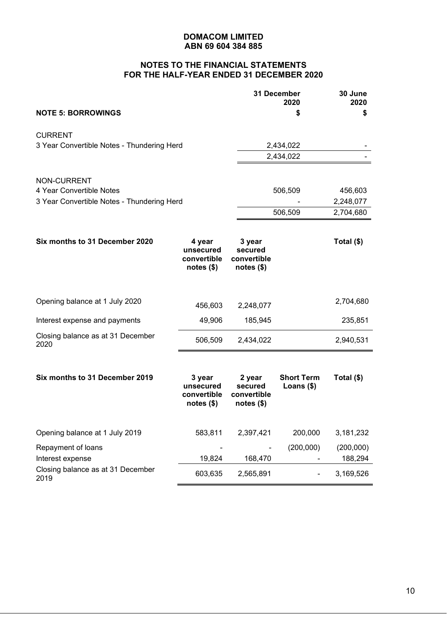# **NOTES TO THE FINANCIAL STATEMENTS FOR THE HALF-YEAR ENDED 31 DECEMBER 2020**

|                                            |                                                    |                                                  | 31 December<br>2020              | 30 June<br>2020      |
|--------------------------------------------|----------------------------------------------------|--------------------------------------------------|----------------------------------|----------------------|
| <b>NOTE 5: BORROWINGS</b>                  |                                                    |                                                  | \$                               | \$                   |
| <b>CURRENT</b>                             |                                                    |                                                  |                                  |                      |
| 3 Year Convertible Notes - Thundering Herd |                                                    |                                                  | 2,434,022                        |                      |
|                                            |                                                    |                                                  | 2,434,022                        |                      |
| NON-CURRENT                                |                                                    |                                                  |                                  |                      |
| 4 Year Convertible Notes                   |                                                    |                                                  | 506,509                          | 456,603              |
| 3 Year Convertible Notes - Thundering Herd |                                                    |                                                  |                                  | 2,248,077            |
|                                            |                                                    |                                                  | 506,509                          | 2,704,680            |
| Six months to 31 December 2020             | 4 year<br>unsecured<br>convertible<br>notes $(\$)$ | 3 year<br>secured<br>convertible<br>notes $($)$  |                                  | Total (\$)           |
| Opening balance at 1 July 2020             | 456,603                                            | 2,248,077                                        |                                  | 2,704,680            |
| Interest expense and payments              | 49,906                                             | 185,945                                          |                                  | 235,851              |
| Closing balance as at 31 December<br>2020  | 506,509                                            | 2,434,022                                        |                                  | 2,940,531            |
| Six months to 31 December 2019             | 3 year<br>unsecured<br>convertible<br>notes $($)$  | 2 year<br>secured<br>convertible<br>notes $(\$)$ | <b>Short Term</b><br>Loans $($)$ | Total (\$)           |
| Opening balance at 1 July 2019             | 583,811                                            | 2,397,421                                        | 200,000                          | 3,181,232            |
| Repayment of loans<br>Interest expense     | 19,824                                             | 168,470                                          | (200,000)                        | (200,000)<br>188,294 |
| Closing balance as at 31 December<br>2019  | 603,635                                            | 2,565,891                                        |                                  | 3,169,526            |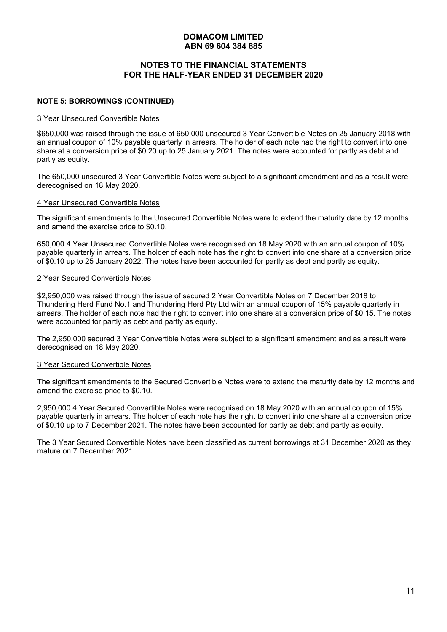## **NOTES TO THE FINANCIAL STATEMENTS FOR THE HALF-YEAR ENDED 31 DECEMBER 2020**

#### **NOTE 5: BORROWINGS (CONTINUED)**

#### 3 Year Unsecured Convertible Notes

\$650,000 was raised through the issue of 650,000 unsecured 3 Year Convertible Notes on 25 January 2018 with an annual coupon of 10% payable quarterly in arrears. The holder of each note had the right to convert into one share at a conversion price of \$0.20 up to 25 January 2021. The notes were accounted for partly as debt and partly as equity.

The 650,000 unsecured 3 Year Convertible Notes were subject to a significant amendment and as a result were derecognised on 18 May 2020.

#### 4 Year Unsecured Convertible Notes

The significant amendments to the Unsecured Convertible Notes were to extend the maturity date by 12 months and amend the exercise price to \$0.10.

650,000 4 Year Unsecured Convertible Notes were recognised on 18 May 2020 with an annual coupon of 10% payable quarterly in arrears. The holder of each note has the right to convert into one share at a conversion price of \$0.10 up to 25 January 2022. The notes have been accounted for partly as debt and partly as equity.

#### 2 Year Secured Convertible Notes

\$2,950,000 was raised through the issue of secured 2 Year Convertible Notes on 7 December 2018 to Thundering Herd Fund No.1 and Thundering Herd Pty Ltd with an annual coupon of 15% payable quarterly in arrears. The holder of each note had the right to convert into one share at a conversion price of \$0.15. The notes were accounted for partly as debt and partly as equity.

The 2,950,000 secured 3 Year Convertible Notes were subject to a significant amendment and as a result were derecognised on 18 May 2020.

#### 3 Year Secured Convertible Notes

The significant amendments to the Secured Convertible Notes were to extend the maturity date by 12 months and amend the exercise price to \$0.10.

2,950,000 4 Year Secured Convertible Notes were recognised on 18 May 2020 with an annual coupon of 15% payable quarterly in arrears. The holder of each note has the right to convert into one share at a conversion price of \$0.10 up to 7 December 2021. The notes have been accounted for partly as debt and partly as equity.

The 3 Year Secured Convertible Notes have been classified as current borrowings at 31 December 2020 as they mature on 7 December 2021.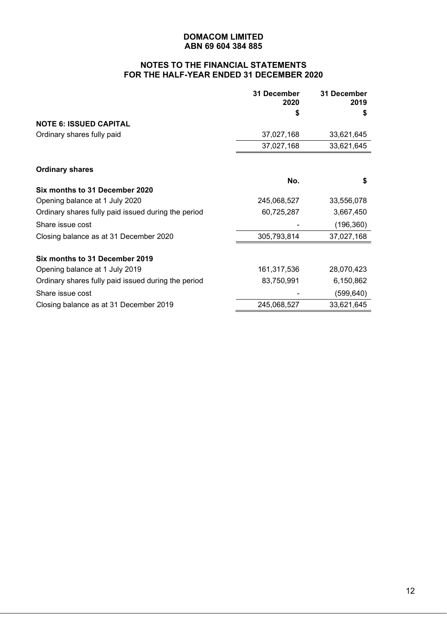# **NOTES TO THE FINANCIAL STATEMENTS FOR THE HALF-YEAR ENDED 31 DECEMBER 2020**

|                                                     | 31 December<br>2020 | 31 December<br>2019 |
|-----------------------------------------------------|---------------------|---------------------|
|                                                     | S                   | S                   |
| <b>NOTE 6: ISSUED CAPITAL</b>                       |                     |                     |
| Ordinary shares fully paid                          | 37,027,168          | 33,621,645          |
|                                                     | 37,027,168          | 33,621,645          |
| <b>Ordinary shares</b>                              |                     |                     |
|                                                     | No.                 | \$                  |
| Six months to 31 December 2020                      |                     |                     |
| Opening balance at 1 July 2020                      | 245,068,527         | 33,556,078          |
| Ordinary shares fully paid issued during the period | 60,725,287          | 3,667,450           |
| Share issue cost                                    |                     | (196, 360)          |
| Closing balance as at 31 December 2020              | 305,793,814         | 37,027,168          |
| Six months to 31 December 2019                      |                     |                     |
| Opening balance at 1 July 2019                      | 161,317,536         | 28,070,423          |
| Ordinary shares fully paid issued during the period | 83,750,991          | 6,150,862           |
| Share issue cost                                    |                     | (599, 640)          |
| Closing balance as at 31 December 2019              | 245,068,527         | 33,621,645          |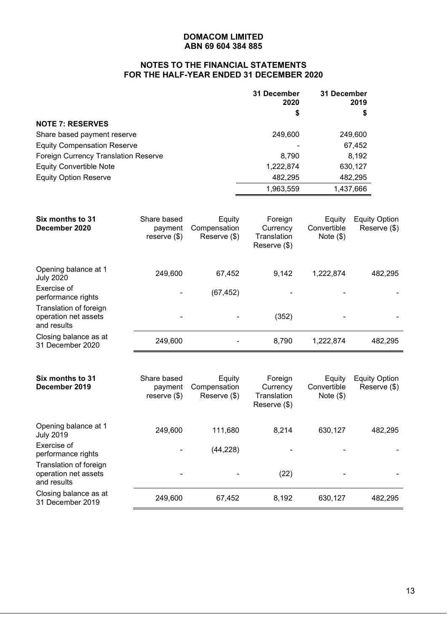# **NOTES TO THE FINANCIAL STATEMENTS FOR THE HALF-YEAR ENDED 31 DECEMBER 2020**

|                                      | 31 December<br>2020 | 31 December<br>2019 |
|--------------------------------------|---------------------|---------------------|
|                                      | \$                  | \$                  |
| <b>NOTE 7: RESERVES</b>              |                     |                     |
| Share based payment reserve          | 249.600             | 249,600             |
| <b>Equity Compensation Reserve</b>   |                     | 67,452              |
| Foreign Currency Translation Reserve | 8.790               | 8,192               |
| <b>Equity Convertible Note</b>       | 1,222,874           | 630,127             |
| <b>Equity Option Reserve</b>         | 482,295             | 482,295             |
|                                      | 1,963,559           | 1,437,666           |

| Six months to 31<br>December 2020                             | Share based<br>payment<br>reserve $(\$)$ | Equity<br>Compensation<br>Reserve (\$) | Foreign<br>Currency<br>Translation<br>Reserve (\$) | Equity<br>Convertible<br>Note $(\$)$ | <b>Equity Option</b><br>Reserve (\$) |
|---------------------------------------------------------------|------------------------------------------|----------------------------------------|----------------------------------------------------|--------------------------------------|--------------------------------------|
| Opening balance at 1<br><b>July 2020</b>                      | 249,600                                  | 67,452                                 | 9,142                                              | 1,222,874                            | 482,295                              |
| Exercise of<br>performance rights                             |                                          | (67, 452)                              |                                                    |                                      |                                      |
| Translation of foreign<br>operation net assets<br>and results |                                          |                                        | (352)                                              |                                      |                                      |
| Closing balance as at<br>31 December 2020                     | 249,600                                  |                                        | 8,790                                              | 1,222,874                            | 482,295                              |

| Six months to 31<br>December 2019                             | Share based<br>payment<br>reserve $(\$)$ | Equity<br>Compensation<br>Reserve (\$) | Foreign<br>Currency<br>Translation<br>Reserve (\$) | Equity<br>Convertible<br>Note $(\$)$ | <b>Equity Option</b><br>Reserve (\$) |
|---------------------------------------------------------------|------------------------------------------|----------------------------------------|----------------------------------------------------|--------------------------------------|--------------------------------------|
| Opening balance at 1<br><b>July 2019</b>                      | 249,600                                  | 111,680                                | 8,214                                              | 630,127                              | 482,295                              |
| Exercise of<br>performance rights                             |                                          | (44, 228)                              |                                                    |                                      |                                      |
| Translation of foreign<br>operation net assets<br>and results |                                          |                                        | (22)                                               |                                      |                                      |
| Closing balance as at<br>31 December 2019                     | 249,600                                  | 67,452                                 | 8,192                                              | 630,127                              | 482,295                              |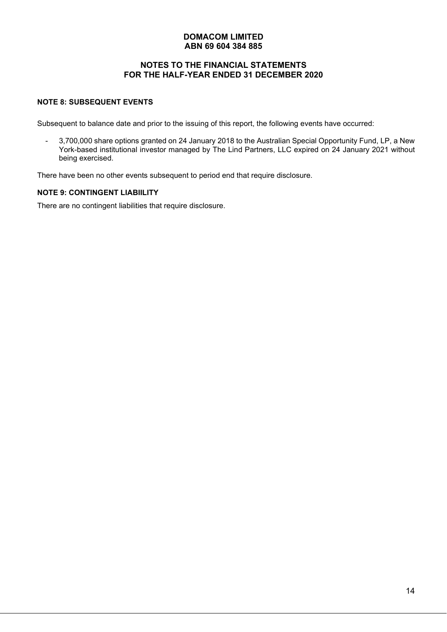## **NOTES TO THE FINANCIAL STATEMENTS FOR THE HALF-YEAR ENDED 31 DECEMBER 2020**

## **NOTE 8: SUBSEQUENT EVENTS**

Subsequent to balance date and prior to the issuing of this report, the following events have occurred:

- 3,700,000 share options granted on 24 January 2018 to the Australian Special Opportunity Fund, LP, a New York-based institutional investor managed by The Lind Partners, LLC expired on 24 January 2021 without being exercised.

There have been no other events subsequent to period end that require disclosure.

## **NOTE 9: CONTINGENT LIABIILITY**

There are no contingent liabilities that require disclosure.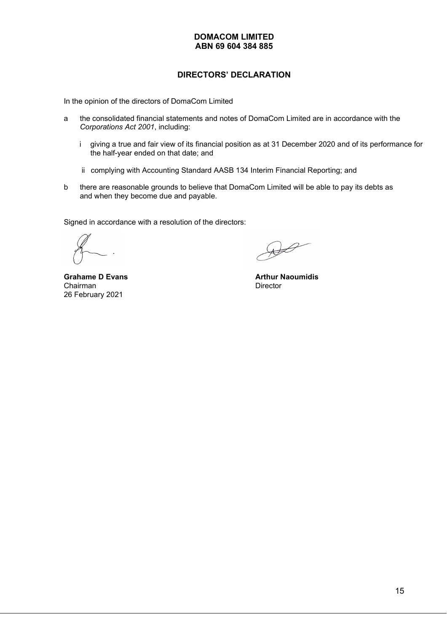# **DIRECTORS' DECLARATION**

In the opinion of the directors of DomaCom Limited

- a the consolidated financial statements and notes of DomaCom Limited are in accordance with the *Corporations Act 2001*, including:
	- i giving a true and fair view of its financial position as at 31 December 2020 and of its performance for the half-year ended on that date; and
	- ii complying with Accounting Standard AASB 134 Interim Financial Reporting; and
- b there are reasonable grounds to believe that DomaCom Limited will be able to pay its debts as and when they become due and payable.

Signed in accordance with a resolution of the directors:

**Grahame D Evans Arthur Naoumidis**<br> **Grahame D Evans Arthur Naoumidis**<br>
Director Chairman 26 February 2021

 $\bigoplus$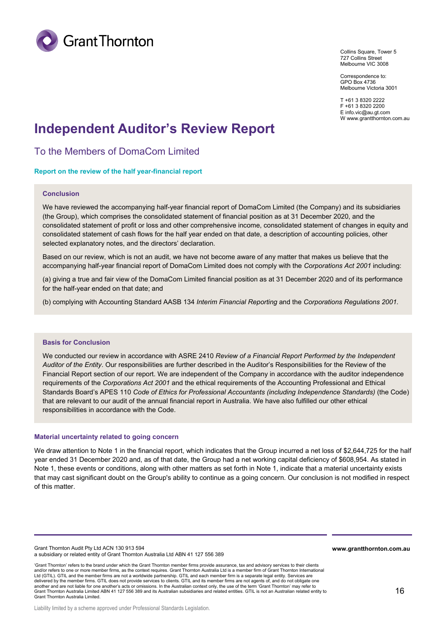

Collins Square, Tower 5 727 Collins Street Melbourne VIC 3008

Correspondence to: GPO Box 4736 Melbourne Victoria 3001

T +61 3 8320 2222 F +61 3 8320 2200 E info.vic@au.gt.com W www.grantthornton.com.au

# **Independent Auditor's Review Report**

To the Members of DomaCom Limited

#### **Report on the review of the half year-financial report**

#### **Conclusion**

We have reviewed the accompanying half-year financial report of DomaCom Limited (the Company) and its subsidiaries (the Group), which comprises the consolidated statement of financial position as at 31 December 2020, and the consolidated statement of profit or loss and other comprehensive income, consolidated statement of changes in equity and consolidated statement of cash flows for the half year ended on that date, a description of accounting policies, other selected explanatory notes, and the directors' declaration.

Based on our review, which is not an audit, we have not become aware of any matter that makes us believe that the accompanying half-year financial report of DomaCom Limited does not comply with the *Corporations Act 2001* including:

(a) giving a true and fair view of the DomaCom Limited financial position as at 31 December 2020 and of its performance for the half-year ended on that date; and

(b) complying with Accounting Standard AASB 134 *Interim Financial Reporting* and the *Corporations Regulations 2001.*

#### **Basis for Conclusion**

We conducted our review in accordance with ASRE 2410 *Review of a Financial Report Performed by the Independent Auditor of the Entity*. Our responsibilities are further described in the Auditor's Responsibilities for the Review of the Financial Report section of our report. We are independent of the Company in accordance with the auditor independence requirements of the *Corporations Act 2001* and the ethical requirements of the Accounting Professional and Ethical Standards Board's APES 110 *Code of Ethics for Professional Accountants (including Independence Standards)* (the Code) that are relevant to our audit of the annual financial report in Australia. We have also fulfilled our other ethical responsibilities in accordance with the Code.

#### **Material uncertainty related to going concern**

We draw attention to Note 1 in the financial report, which indicates that the Group incurred a net loss of \$2,644,725 for the half year ended 31 December 2020 and, as of that date, the Group had a net working capital deficiency of \$608,954. As stated in Note 1, these events or conditions, along with other matters as set forth in Note 1, indicate that a material uncertainty exists that may cast significant doubt on the Group's ability to continue as a going concern. Our conclusion is not modified in respect of this matter.

Grant Thornton Audit Pty Ltd ACN 130 913 594 a subsidiary or related entity of Grant Thornton Australia Ltd ABN 41 127 556 389

'Grant Thornton' refers to the brand under which the Grant Thornton member firms provide assurance, tax and advisory services to their clients and/or refers to one or more member firms, as the context requires. Grant Thornton Australia Ltd is a member firm of Grant Thornton International Ltd (GTIL). GTIL and the member firms are not a worldwide partnership. GTIL and each member firm is a separate legal entity. Services are delivered by the member firms. GTIL does not provide services to clients. GTIL and its member firms are not agents of, and do not obligate one another and are not liable for one another's acts or omissions. In the Australian context only, the use of the term 'Grant Thornton' may refer to<br>Grant Thornton Australia Limited ABN 41 127 556 389 and its Australian subsi Grant Thornton Australia Limited.

**www.grantthornton.com.au**